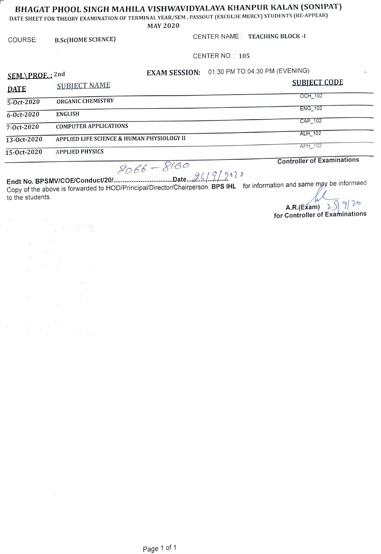## BHAGAT PHOOL SINGH MAHILA VISHWAVIDYALAYA KHANPUR KALAN (SONIPAT)

DATE SHEET FOR THEORY EXAMINATION OF TERMINAL YEAR/SEM, PASSOUT (EXCULDE MERCY) STUDENTs (RE-APPEAR)

MAY 2020

**FOR THE** 

COURSE: B.Sc(HOME SCIENCE) CENTER NAME: TEACHING BLOCK -I

CENTER NO.: 105

 $\mathbf{f}$ 

SEM.\PROE.: <sup>2nd</sup> EXAM SESSION: 01:30 PM TO 04:30 PM (EVENING)

| <b>DATE</b>      | <b>SUBJECT NAME</b>                        | <b>SUBJECT CODE</b> |
|------------------|--------------------------------------------|---------------------|
|                  | ORGANIC CHEMISTRY                          | <b>OCH 102</b>      |
| 5-Oct-2020       |                                            | <b>ENG 102</b>      |
| $6 - Oct - 2020$ | <b>ENGLISH</b>                             | CAP 102             |
| $7 - Oct - 2020$ | <b>COMPUTER APPLICATIONS</b>               | ALH 102             |
| $13-0ct-2020$    | APPLIED LIFE SCIENCE & HUMAN PHYSIOLOGY II | <b>APH 102</b>      |
| 15-Oct-2020      | <b>APPLIED PHYSICS</b>                     |                     |

#### Controller of Examinations

 $SO66 = \text{O}^2$ . Date 24/9/282 Copy of the above is forwarded to HOD/Principal/Director/Chairperson BPS IHL for information and same may be informaed to the students.

So66-&6o

A.R.(Exam)  $2 \sin 7$ for Controller of Examinations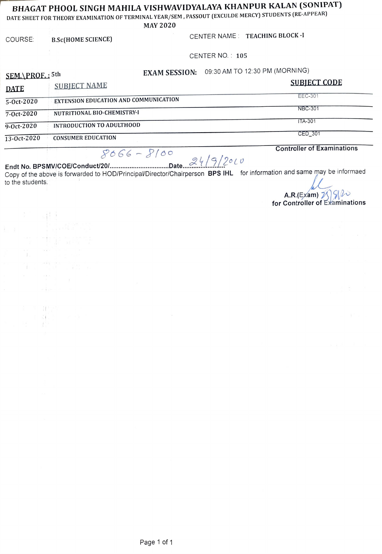# BHAGAT PHOOL SINGH MAHILA VISHWAVIDYALAYA KHANPUR KALAN (SONIPAT)

DATE SHEET FOR THEORY EXAMINATION OF TERMINAL YEAR/SEM, PASSOUT (EXCULDE MERCY) STUDENTS (RE-APPEAR)

MAY 2020

COURSE: B.Sc(HOME SCIENCE) CENTER NAME: TEACHING BLOCK -I

CENTER NO.: 105

We

SEM.\PROF.: 5th EXAM SESSION: 09:30 AM TO 12:30 PM (MORNING)

| <b>DATE</b>      | <b>SUBJECT NAME</b>                   | <b>SUBIECT CODE</b> |
|------------------|---------------------------------------|---------------------|
| 5-Oct-2020       | EXTENSION EDUCATION AND COMMUNICATION | EEC-301             |
| $7 - Oct - 2020$ | NUTRITIONAL BIO-CHEMISTRY-I           | <b>NBC-301</b>      |
| $9-0ct-2020$     | <b>INTRODUCTION TO ADULTHOOD</b>      | <b>ITA-301</b>      |
| 13-Oct-2020      | <b>CONSUMER EDUCATION</b>             | CED 301             |

Controller of Examinations

Endt No. BPSMVICOEJConductU20/.. .s\*s . ale.. 4/9/20L issk. Copy of the above is forwarded to HOD/Principa/Director/Chairperson BPS IHL for information and same may be informaed to the students.

A.R.(Exam)  $\iiint_{\mathbf{f} \in \mathbf{f}} \frac{\partial \mathbf{f}}{\partial \mathbf{f}}$  for Controller of Examinations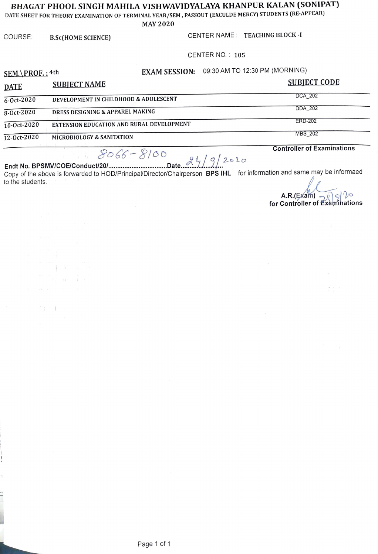### BHAGAT PHOOL SINGH MAHILA VISHWAVIDYALAYA KHANPUR KALAN (SONIPAT)|

DATE SHEET FOR THEORY EXAMINATION OF TERMINAL YEAR/SEM , PASSOUT (EXCULDE MERCY) STUDENTS (RE-APPEAR)

MAY 2020

 $\gamma$  in the set of  $\gamma$ 

COURSE: B.Sc(HOME SCIENCE) CENTER NAME: TEACHING BLOCK -I

CENTER NO.: 105

SEM.\PROF.: 4th EXAM SESSION: 09:30 AM TO 12:30 PM (MORNING)

| <b>DATE</b>      | <b>SUBJECT NAME</b>                       | SUBIECT CODE   |
|------------------|-------------------------------------------|----------------|
| $6 - 0ct - 2020$ | DEVELOPMENT IN CHILDHOOD & ADOLESCENT     | <b>DCA 202</b> |
| $8 - Oct - 2020$ | DRESS DESIGNING & APPAREL MAKING          | DDA 202        |
| $10-0ct-2020$    | EXTENSION EDUCATION AND RURAL DEVELOPMENT | <b>ERD-202</b> |
| $12 - Oct-2020$  | <b>MICROBIOLOGY &amp; SANITATION</b>      | MBS 202        |
|                  |                                           |                |

Controller of Examinations obk-&E100 . Date../ 9/26lo Endt No. BPSMVICOEIConductU20/.. Copy of the above is forwarded to HOD/Principa/Director/Chairperson BPS IHL for informaticon and same may be informaed to the students.

 $AR(Exam)$   $\overbrace{EXam}$  for Controller of Examinations